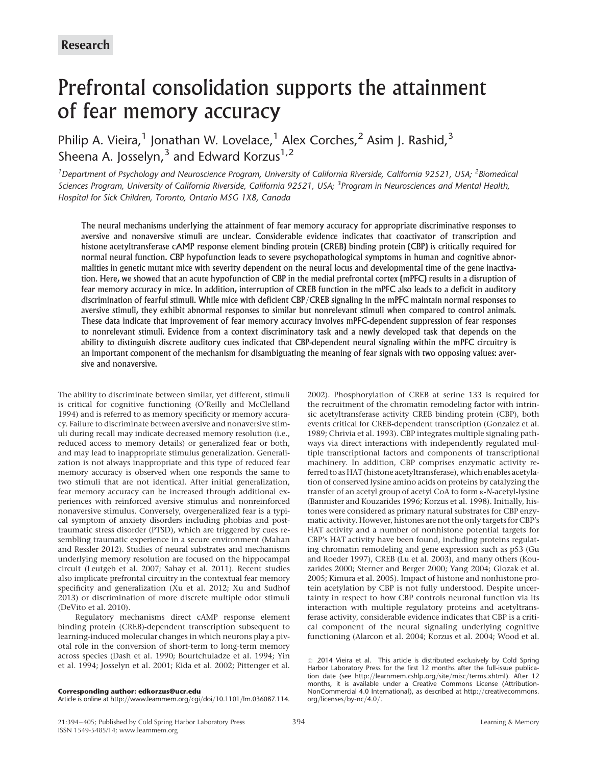# Prefrontal consolidation supports the attainment of fear memory accuracy

Philip A. Vieira,<sup>1</sup> Jonathan W. Lovelace,<sup>1</sup> Alex Corches,<sup>2</sup> Asim J. Rashid,<sup>3</sup> Sheena A. Josselyn,  $3$  and Edward Korzus<sup>1,2</sup>

<sup>1</sup> Department of Psychology and Neuroscience Program, University of California Riverside, California 92521, USA; <sup>2</sup>Biomedical Sciences Program, University of California Riverside, California 92521, USA; <sup>3</sup> Program in Neurosciences and Mental Health, Hospital for Sick Children, Toronto, Ontario M5G 1X8, Canada

The neural mechanisms underlying the attainment of fear memory accuracy for appropriate discriminative responses to aversive and nonaversive stimuli are unclear. Considerable evidence indicates that coactivator of transcription and histone acetyltransferase cAMP response element binding protein (CREB) binding protein (CBP) is critically required for normal neural function. CBP hypofunction leads to severe psychopathological symptoms in human and cognitive abnormalities in genetic mutant mice with severity dependent on the neural locus and developmental time of the gene inactivation. Here, we showed that an acute hypofunction of CBP in the medial prefrontal cortex (mPFC) results in a disruption of fear memory accuracy in mice. In addition, interruption of CREB function in the mPFC also leads to a deficit in auditory discrimination of fearful stimuli. While mice with deficient CBP/CREB signaling in the mPFC maintain normal responses to aversive stimuli, they exhibit abnormal responses to similar but nonrelevant stimuli when compared to control animals. These data indicate that improvement of fear memory accuracy involves mPFC-dependent suppression of fear responses to nonrelevant stimuli. Evidence from a context discriminatory task and a newly developed task that depends on the ability to distinguish discrete auditory cues indicated that CBP-dependent neural signaling within the mPFC circuitry is an important component of the mechanism for disambiguating the meaning of fear signals with two opposing values: aversive and nonaversive.

The ability to discriminate between similar, yet different, stimuli is critical for cognitive functioning (O'Reilly and McClelland 1994) and is referred to as memory specificity or memory accuracy. Failure to discriminate between aversive and nonaversive stimuli during recall may indicate decreased memory resolution (i.e., reduced access to memory details) or generalized fear or both, and may lead to inappropriate stimulus generalization. Generalization is not always inappropriate and this type of reduced fear memory accuracy is observed when one responds the same to two stimuli that are not identical. After initial generalization, fear memory accuracy can be increased through additional experiences with reinforced aversive stimulus and nonreinforced nonaversive stimulus. Conversely, overgeneralized fear is a typical symptom of anxiety disorders including phobias and posttraumatic stress disorder (PTSD), which are triggered by cues resembling traumatic experience in a secure environment (Mahan and Ressler 2012). Studies of neural substrates and mechanisms underlying memory resolution are focused on the hippocampal circuit (Leutgeb et al. 2007; Sahay et al. 2011). Recent studies also implicate prefrontal circuitry in the contextual fear memory specificity and generalization (Xu et al. 2012; Xu and Sudhof 2013) or discrimination of more discrete multiple odor stimuli (DeVito et al. 2010).

Regulatory mechanisms direct cAMP response element binding protein (CREB)-dependent transcription subsequent to learning-induced molecular changes in which neurons play a pivotal role in the conversion of short-term to long-term memory across species (Dash et al. 1990; Bourtchuladze et al. 1994; Yin et al. 1994; Josselyn et al. 2001; Kida et al. 2002; Pittenger et al.

2002). Phosphorylation of CREB at serine 133 is required for the recruitment of the chromatin remodeling factor with intrinsic acetyltransferase activity CREB binding protein (CBP), both events critical for CREB-dependent transcription (Gonzalez et al. 1989; Chrivia et al. 1993). CBP integrates multiple signaling pathways via direct interactions with independently regulated multiple transcriptional factors and components of transcriptional machinery. In addition, CBP comprises enzymatic activity referred to as HAT (histone acetyltransferase), which enables acetylation of conserved lysine amino acids on proteins by catalyzing the transfer of an acetyl group of acetyl CoA to form  $\varepsilon$ -N-acetyl-lysine (Bannister and Kouzarides 1996; Korzus et al. 1998). Initially, histones were considered as primary natural substrates for CBP enzymatic activity. However, histones are not the only targets for CBP's HAT activity and a number of nonhistone potential targets for CBP's HAT activity have been found, including proteins regulating chromatin remodeling and gene expression such as p53 (Gu and Roeder 1997), CREB (Lu et al. 2003), and many others (Kouzarides 2000; Sterner and Berger 2000; Yang 2004; Glozak et al. 2005; Kimura et al. 2005). Impact of histone and nonhistone protein acetylation by CBP is not fully understood. Despite uncertainty in respect to how CBP controls neuronal function via its interaction with multiple regulatory proteins and acetyltransferase activity, considerable evidence indicates that CBP is a critical component of the neural signaling underlying cognitive functioning (Alarcon et al. 2004; Korzus et al. 2004; Wood et al.

Article is online at http://www.learnmem.org/cgi/doi/10.1101/lm.036087.114.

 $\degree$  2014 Vieira et al. This article is distributed exclusively by Cold Spring Harbor Laboratory Press for the first 12 months after the full-issue publication date (see http://learnmem.cshlp.org/site/misc/terms.xhtml). After 12 months, it is available under a Creative Commons License (Attribution-NonCommercial 4.0 International), as described at http://creativecommons.<br>org/licenses/by-nc/4.0/.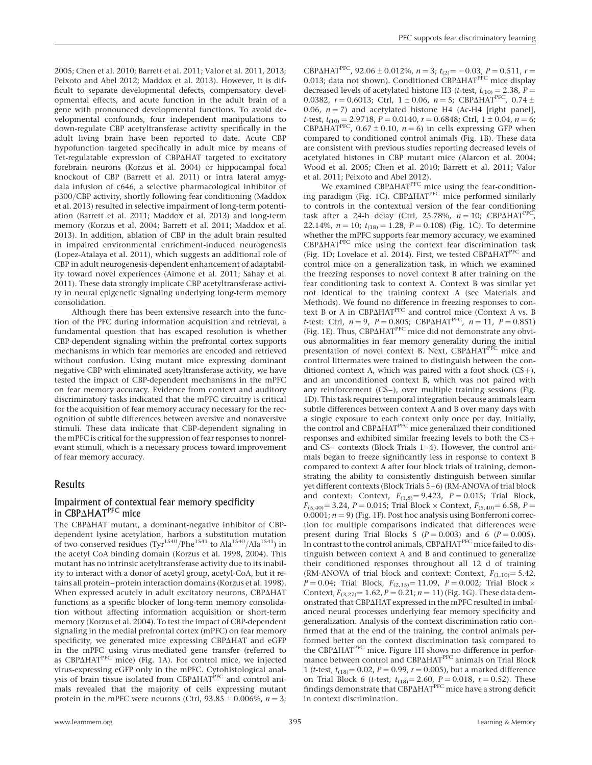2005; Chen et al. 2010; Barrett et al. 2011; Valor et al. 2011, 2013; Peixoto and Abel 2012; Maddox et al. 2013). However, it is difficult to separate developmental defects, compensatory developmental effects, and acute function in the adult brain of a gene with pronounced developmental functions. To avoid developmental confounds, four independent manipulations to down-regulate CBP acetyltransferase activity specifically in the adult living brain have been reported to date. Acute CBP hypofunction targeted specifically in adult mice by means of Tet-regulatable expression of CBPAHAT targeted to excitatory forebrain neurons (Korzus et al. 2004) or hippocampal focal knockout of CBP (Barrett et al. 2011) or intra lateral amygdala infusion of c646, a selective pharmacological inhibitor of p300/CBP activity, shortly following fear conditioning (Maddox et al. 2013) resulted in selective impairment of long-term potentiation (Barrett et al. 2011; Maddox et al. 2013) and long-term memory (Korzus et al. 2004; Barrett et al. 2011; Maddox et al. 2013). In addition, ablation of CBP in the adult brain resulted in impaired environmental enrichment-induced neurogenesis (Lopez-Atalaya et al. 2011), which suggests an additional role of CBP in adult neurogenesis-dependent enhancement of adaptability toward novel experiences (Aimone et al. 2011; Sahay et al. 2011). These data strongly implicate CBP acetyltransferase activity in neural epigenetic signaling underlying long-term memory consolidation.

Although there has been extensive research into the function of the PFC during information acquisition and retrieval, a fundamental question that has escaped resolution is whether CBP-dependent signaling within the prefrontal cortex supports mechanisms in which fear memories are encoded and retrieved without confusion. Using mutant mice expressing dominant negative CBP with eliminated acetyltransferase activity, we have tested the impact of CBP-dependent mechanisms in the mPFC on fear memory accuracy. Evidence from context and auditory discriminatory tasks indicated that the mPFC circuitry is critical for the acquisition of fear memory accuracy necessary for the recognition of subtle differences between aversive and nonaversive stimuli. These data indicate that CBP-dependent signaling in the mPFC is critical for the suppression of fear responses to nonrelevant stimuli, which is a necessary process toward improvement of fear memory accuracy.

# Results

# Impairment of contextual fear memory specificity in CBP $\triangle$ HAT<sup>PFC</sup> mice

The CBP $\Delta$ HAT mutant, a dominant-negative inhibitor of CBPdependent lysine acetylation, harbors a substitution mutation<br>of two conserved residues (Tyr<sup>1540</sup>/Phe<sup>1541</sup> to Ala<sup>1540</sup>/Ala<sup>1541</sup>) in the acetyl CoA binding domain (Korzus et al. 1998, 2004). This mutant has no intrinsic acetyltransferase activity due to its inability to interact with a donor of acetyl group, acetyl-CoA, but it retains all protein–protein interaction domains (Korzus et al. 1998). When expressed acutely in adult excitatory neurons, CBPAHAT functions as a specific blocker of long-term memory consolidation without affecting information acquisition or short-term memory (Korzus et al. 2004). To test the impact of CBP-dependent signaling in the medial prefrontal cortex (mPFC) on fear memory specificity, we generated mice expressing CBPAHAT and eGFP in the mPFC using virus-mediated gene transfer (referred to as CBP $\Delta$ HAT<sup>PFC</sup> mice) (Fig. 1A). For control mice, we injected virus-expressing eGFP only in the mPFC. Cytohistological analysis of brain tissue isolated from CBPAHAT<sup>PFC</sup> and control animals revealed that the majority of cells expressing mutant protein in the mPFC were neurons (Ctrl,  $93.85 \pm 0.006\%$ ,  $n = 3$ ; CBP $\Delta$ HAT<sup>PFC</sup>, 92.06 ± 0.012%, n = 3; t<sub>(2)</sub> = -0.03, P = 0.511, r = 0.013; data not shown). Conditioned CBP $\Delta$ HAT<sup>PFC</sup> mice display decreased levels of acetylated histone H3 (t-test,  $t_{(10)} = 2.38$ ,  $P =$ 0.0382,  $r = 0.6013$ ; Ctrl,  $1 \pm 0.06$ ,  $n = 5$ ; CBP $\triangle$ HAT<sup>PFC</sup>, 0.74  $\pm$ 0.06,  $n = 7$ ) and acetylated histone H4 (Ac-H4 [right panel], t-test,  $t_{(10)} = 2.9718$ ,  $P = 0.0140$ ,  $r = 0.6848$ ; Ctrl,  $1 \pm 0.04$ ,  $n = 6$ ; CBP $\triangle$ HAT<sup>PFC</sup>, 0.67  $\pm$  0.10, n = 6) in cells expressing GFP when compared to conditioned control animals (Fig. 1B). These data are consistent with previous studies reporting decreased levels of acetylated histones in CBP mutant mice (Alarcon et al. 2004; Wood et al. 2005; Chen et al. 2010; Barrett et al. 2011; Valor et al. 2011; Peixoto and Abel 2012).

We examined CBP $\Delta$ HAT<sup>PFC</sup> mice using the fear-conditioning paradigm (Fig. 1C). CBP $\Delta$ HAT<sup>PFC</sup> mice performed similarly to controls in the contextual version of the fear conditioning task after a 24-h delay (Ctrl, 25.78%,  $n = 10$ ; CBP $\Delta HAT^{PFC}$ 22.14%,  $n = 10$ ;  $t_{(18)} = 1.28$ ,  $P = 0.108$ ) (Fig. 1C). To determine whether the mPFC supports fear memory accuracy, we examined  $CBP\Delta HAT^{PFC}$  mice using the context fear discrimination task (Fig. 1D; Lovelace et al. 2014). First, we tested CBPAHAT<sup>PFC</sup> and control mice on a generalization task, in which we examined the freezing responses to novel context B after training on the fear conditioning task to context A. Context B was similar yet not identical to the training context A (see Materials and Methods). We found no difference in freezing responses to context B or A in CBP $\triangle$ HAT<sup>PFC</sup> and control mice (Context A vs. B t-test: Ctrl,  $n = 9$ ,  $P = 0.805$ ; CBP $\Delta$ HAT<sup>PFC</sup>,  $n = 11$ ,  $P = 0.851$ ) (Fig. 1E). Thus, CBP $\Delta HAT^{PFC}$  mice did not demonstrate any obvious abnormalities in fear memory generality during the initial presentation of novel context B. Next, CBPAHAT<sup>PFC</sup> mice and control littermates were trained to distinguish between the conditioned context A, which was paired with a foot shock  $(CS+)$ , and an unconditioned context B, which was not paired with any reinforcement (CS–), over multiple training sessions (Fig. 1D). This task requires temporal integration because animals learn subtle differences between context A and B over many days with a single exposure to each context only once per day. Initially, the control and CBP $\Delta$ HAT<sup>PFC</sup> mice generalized their conditioned responses and exhibited similar freezing levels to both the CS+ and CS– contexts (Block Trials 1–4). However, the control animals began to freeze significantly less in response to context B compared to context A after four block trials of training, demonstrating the ability to consistently distinguish between similar yet different contexts (Block Trials 5–6) (RM-ANOVA of trial block and context: Context,  $F_{(1,8)} = 9.423$ ,  $P = 0.015$ ; Trial Block,  $F_{(5,40)} = 3.24$ ,  $P = 0.015$ ; Trial Block × Context,  $F_{(5,40)} = 6.58$ ,  $P =$  $0.0001$ ;  $n = 9$ ) (Fig. 1F). Post hoc analysis using Bonferroni correction for multiple comparisons indicated that differences were present during Trial Blocks 5 ( $P = 0.003$ ) and 6 ( $P = 0.005$ ). In contrast to the control animals, CBP $\Delta$ HAT<sup>PFC</sup> mice failed to distinguish between context A and B and continued to generalize their conditioned responses throughout all 12 d of training (RM-ANOVA of trial block and context: Context,  $F_{(1,10)} = 5.42$ ,  $P = 0.04$ ; Trial Block,  $F_{(2,15)} = 11.09$ ,  $P = 0.002$ ; Trial Block × Context,  $F_{(3,27)} = 1.62$ ,  $P = 0.21$ ;  $n = 11$ ) (Fig. 1G). These data demonstrated that CBP $\Delta$ HAT expressed in the mPFC resulted in imbalanced neural processes underlying fear memory specificity and generalization. Analysis of the context discrimination ratio confirmed that at the end of the training, the control animals performed better on the context discrimination task compared to the CBP $\Delta$ HAT<sup>PFC</sup> mice. Figure 1H shows no difference in performance between control and CBP $\triangle$ HAT<sup>PFC</sup> animals on Trial Block 1 (*t*-test,  $t_{(18)} = 0.02$ ,  $P = 0.99$ ,  $r = 0.005$ ), but a marked difference on Trial Block 6 (*t*-test,  $t_{(18)} = 2.60$ ,  $P = 0.018$ ,  $r = 0.52$ ). These findings demonstrate that  $\overline{\text{CBP}\Delta\text{HAT}}^{\text{PFC}}$  mice have a strong deficit in context discrimination.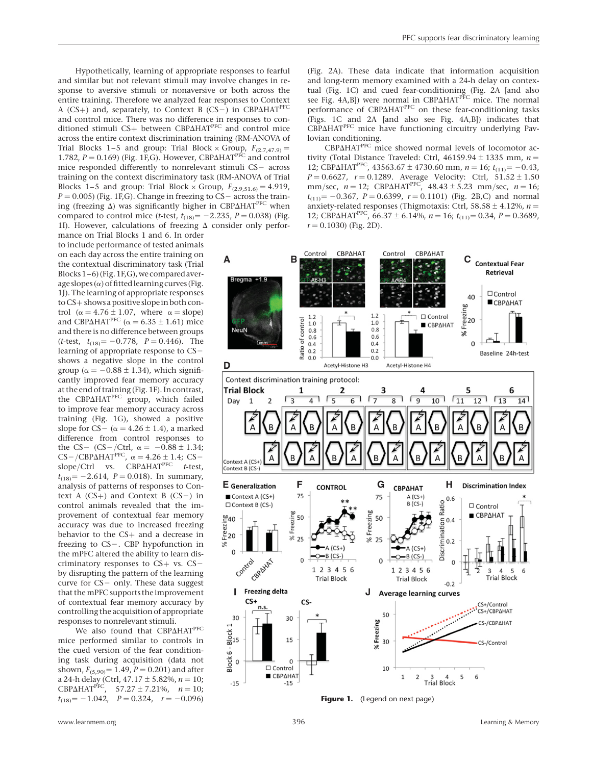Hypothetically, learning of appropriate responses to fearful and similar but not relevant stimuli may involve changes in response to aversive stimuli or nonaversive or both across the entire training. Therefore we analyzed fear responses to Context A (CS+) and, separately, to Context B (CS-) in CBP $\Delta$ HAT<sup>PFC</sup> and control mice. There was no difference in responses to conditioned stimuli CS+ between CBP $\Delta$ HAT<sup>PFC</sup> and control mice across the entire context discrimination training (RM-ANOVA of Trial Blocks 1–5 and group: Trial Block × Group,  $F_{(2.7,47.9)} =$ 1.782,  $P = 0.169$ ) (Fig. 1F,G). However, CBP $\Delta$ HAT<sup>PFC</sup> and control mice responded differently to nonrelevant stimuli  $CS$  – across training on the context discriminatory task (RM-ANOVA of Trial Blocks 1–5 and group: Trial Block × Group,  $F_{(2.9,51.6)} = 4.919$ ,  $P = 0.005$ ) (Fig. 1F,G). Change in freezing to CS – across the training (freezing  $\Delta$ ) was significantly higher in CBP $\Delta$ HAT<sup>PFC</sup> when compared to control mice (*t*-test,  $t_{(18)} = -2.235$ ,  $P = 0.038$ ) (Fig. 1I). However, calculations of freezing  $\Delta$  consider only perfor-

mance on Trial Blocks 1 and 6. In order to include performance of tested animals on each day across the entire training on the contextual discriminatory task (Trial Blocks1–6)(Fig.1F,G),wecomparedaverage slopes  $(\alpha)$  of fitted learning curves (Fig. 1J). The learning of appropriate responses to CS+ shows a positive slope in both control ( $\alpha = 4.76 \pm 1.07$ , where  $\alpha =$ slope) and CBP $\triangle$ HAT<sup>PFC</sup> ( $\alpha$  = 6.35 ± 1.61) mice and there is no difference between groups (*t*-test,  $t_{(18)} = -0.778$ ,  $P = 0.446$ ). The learning of appropriate response to  $CS$ shows a negative slope in the control group ( $\alpha = -0.88 \pm 1.34$ ), which significantly improved fear memory accuracy at the end of training (Fig.1F). Incontrast, the CBP $\Delta$ HAT<sup>PFC</sup> group, which failed to improve fear memory accuracy across training (Fig. 1G), showed a positive slope for CS- $(\alpha = 4.26 \pm 1.4)$ , a marked difference from control responses to the CS- (CS-/Ctrl,  $\alpha = -0.88 \pm 1.34$ ;  $CS$ -/CBP $\Delta$ HAT<sup>PFC</sup>,  $\alpha$  = 4.26 ± 1.4; CSslope/Ctrl vs.  $CBP\Delta HAT^{PFC}$  t-test,  $t_{(18)} = -2.614$ ,  $P = 0.018$ ). In summary, analysis of patterns of responses to Context A  $(CS+)$  and Context B  $(CS-)$  in control animals revealed that the improvement of contextual fear memory accuracy was due to increased freezing behavior to the CS+ and a decrease in freezing to  $CS$ -. CBP hypofunction in the mPFC altered the ability to learn discriminatory responses to  $CS+$  vs.  $CS$ by disrupting the pattern of the learning curve for  $CS$  - only. These data suggest that the mPFC supports the improvement of contextual fear memory accuracy by controlling the acquisition of appropriate responses to nonrelevant stimuli.

We also found that CBP $\Delta$ HAT<sup>PFC</sup> mice performed similar to controls in the cued version of the fear conditioning task during acquisition (data not shown,  $F_{(5,90)} = 1.49$ ,  $P = 0.201$ ) and after a 24-h delay (Ctrl,  $47.17 \pm 5.82$ %,  $n = 10$ ; CBP $\triangle$ HAT<sup>PFC</sup>, 57.27 ± 7.21%,  $n = 10$ ;  $t_{(18)} = -1.042$ ,  $P = 0.324$ ,  $r = -0.096$ )

(Fig. 2A). These data indicate that information acquisition and long-term memory examined with a 24-h delay on contextual (Fig. 1C) and cued fear-conditioning (Fig. 2A [and also see Fig.  $4A,B$ ) were normal in CBP $\Delta HAT^{PFC}$  mice. The normal performance of CBP $\Delta$ HAT<sup>PFC</sup> on these fear-conditioning tasks (Figs. 1C and 2A [and also see Fig. 4A,B]) indicates that CBP $\triangle$ HAT<sup>PFC</sup> mice have functioning circuitry underlying Pavlovian conditioning.

CBP $\triangle$ HAT<sup>PFC</sup> mice showed normal levels of locomotor activity (Total Distance Traveled: Ctrl,  $46159.94 \pm 1335$  mm,  $n =$ 12; CBP $\Delta$ HAT<sup>PFC</sup>, 43563.67 ± 4730.60 mm, n = 16; t<sub>(11)</sub> = -0.43,  $P = 0.6627$ ,  $r = 0.1289$ . Average Velocity: Ctrl,  $51.52 \pm 1.50$ mm/sec,  $n = 12$ ; CBP $\Delta$ HAT<sup>PFC</sup>, 48.43 ± 5.23 mm/sec,  $n = 16$ ;  $t_{(11)} = -0.367$ ,  $P = 0.6399$ ,  $r = 0.1101$ ) (Fig. 2B,C) and normal anxiety-related responses (Thigmotaxis: Ctrl, 58.58  $\pm$  4.12%, n = 12; CBP $\triangle$ HAT<sup>PFC</sup>, 66.37 ± 6.14%, n = 16; t<sub>(11)</sub> = 0.34, P = 0.3689,  $r = 0.1030$  (Fig. 2D).



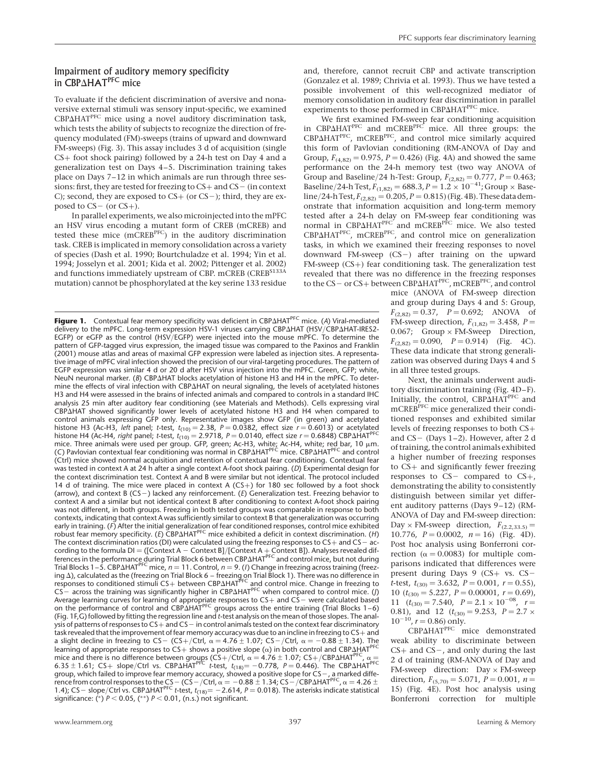# Impairment of auditory memory specificity in CBP $\triangle$ HAT<sup>PFC</sup> mice

To evaluate if the deficient discrimination of aversive and nonaversive external stimuli was sensory input-specific, we examined CBP $\triangle$ HAT<sup>PFC</sup> mice using a novel auditory discrimination task, which tests the ability of subjects to recognize the direction of frequency modulated (FM)-sweeps (trains of upward and downward  $FM$ -sweeps) (Fig. 3). This assay includes 3 d of acquisition (single CS+ foot shock pairing) followed by a 24-h test on Day 4 and a generalization test on Days 4–5. Discrimination training takes place on Days 7–12 in which animals are run through three sessions: first, they are tested for freezing to  $CS+$  and  $CS-$  (in context C); second, they are exposed to  $CS+$  (or  $CS-$ ); third, they are exposed to  $CS-$  (or  $CS+$ ).

In parallel experiments, we also microinjected into the mPFC an HSV virus encoding a mutant form of CREB (mCREB) and tested these mice (mCREBPFC) in the auditory discrimination task. CREB is implicated in memory consolidation across a variety of species (Dash et al. 1990; Bourtchuladze et al. 1994; Yin et al. 1994; Josselyn et al. 2001; Kida et al. 2002; Pittenger et al. 2002) and functions immediately upstream of CBP. mCREB (CREB<sup>S133A</sup> mutation) cannot be phosphorylated at the key serine 133 residue

**Figure 1.** Contextual fear memory specificity was deficient in CBP $\Delta H A T^{PFC}$  mice. (A) Viral-mediated delivery to the mPFC. Long-term expression HSV-1 viruses carrying CBPAHAT (HSV/CBPAHAT-IRES2-EGFP) or eGFP as the control (HSV/EGFP) were injected into the mouse mPFC. To determine the pattern of GFP-tagged virus expression, the imaged tissue was compared to the Paxinos and Franklin (2001) mouse atlas and areas of maximal GFP expression were labeled as injection sites. A representative image of mPFC viral infection showed the precision of our viral-targeting procedures. The pattern of EGFP expression was similar 4 d or 20 d after HSV virus injection into the mPFC. Green, GFP; white, NeuN neuronal marker.  $(B)$  CBP $\Delta$ HAT blocks acetylation of histone H3 and H4 in the mPFC. To determine the effects of viral infection with CBPAHAT on neural signaling, the levels of acetylated histones H3 and H4 were assessed in the brains of infected animals and compared to controls in a standard IHC analysis 25 min after auditory fear conditioning (see Materials and Methods). Cells expressing viral CBPAHAT showed significantly lower levels of acetylated histone H3 and H4 when compared to control animals expressing GFP only. Representative images show GFP (in green) and acetylated histone H3 (Ac-H3, left panel; t-test,  $t_{(10)} = 2.38$ ,  $P = 0.0382$ , effect size  $r = 0.6013$ ) or acetylated histone H4 (Ac-H4*, right* panel; *t*-test, *t<sub>(10)</sub> = 2.9718, P = 0.0140,* effect size *r* = 0.6848) CBPΔHAT<sup>PFC</sup><br>mice. Three animals were used per group. GFP, green; Ac-H3, white; Ac-H4, white; red bar, 10 μm.<br>(C) Pavlo (Ctrl) mice showed normal acquisition and retention of contextual fear conditioning. Contextual fear was tested in context A at 24 h after a single context A-foot shock pairing. (D) Experimental design for the context discrimination test. Context A and B were similar but not identical. The protocol included 14 d of training. The mice were placed in context A  $(CS+)$  for 180 sec followed by a foot shock (arrow), and context B (CS-) lacked any reinforcement. (E) Generalization test. Freezing behavior to context A and a similar but not identical context B after conditioning to context A-foot shock pairing was not different, in both groups. Freezing in both tested groups was comparable in response to both contexts, indicating that context A was sufficiently similar to context B that generalization was occurring early in training. (*F)* After the initial generalization of fear conditioned responses, control mice exhibited<br>robust fear memory specificity. (*E*) CBP∆HAT<sup>PFC</sup> mice exhibited a deficit in context discrimination. (*H*) The context discrimination ratios (DI) were calculated using the freezing responses to  $CS+$  and  $CS-$  according to the formula DI = ([Context A – Context B]/[Context A + Context B]). Analyses revealed dif-<br>ferences in the performance during Trial Block 6 between CBP∆HAT<sup>PFC</sup> and control mice, but not during Trial Blocks 1–5. CBP $\Delta H$ AT<sup>PFC</sup> mice,  $n = 11$ . Control,  $n = 9$ . (*I*) Change in freezing across training (freezing Δ), calculated as the (freezing on Trial Block 6 – freezing on Trial Block 1). There was no difference in<br>responses to conditioned stimuli CS+ between CBPΔHAT<sup>PFC</sup> and control mice. Change in freezing to<br>CS – across Average learning curves for learning of appropriate responses to  $CS+$  and  $CS-$  were calculated based on the performance of control and CBPDHATPFC groups across the entire training (Trial Blocks 1 –6) (Fig. 1F, G) followed by fitting the regression line and t-test analysis on the mean of those slopes. The analysis of patterns of responses to  $CS+$  and  $CS-$  in control animals tested on the context fear discriminatory task revealed that the improvement of fear memory accuracy was due to an incline in freezing to CS+ and a slight decline in freezing to CS- (CS+/Ctrl,  $\alpha = 4.76 \pm 1.07$ ; CS-/Ctrl,  $\alpha = -0.88 \pm 1.34$ ). The learning of appropriate responses to  $CS+$  shows a positive slope  $(\alpha)$  in both control and CBP $\Delta$ HAT<sup>PFC</sup> mice and there is no difference between groups (CS+/Ctrl,  $\alpha = 4.76 \pm 1.07$ ; CS+/CBP $\Delta H A T^{PFC}$ ,  $\alpha = 4.76 \pm 1.07$ ; CS+/CBP $\Delta H A T^{PFC}$ 6.35  $\pm$  1.61; CS+ slope/Ctrl vs. CBP $\Delta H A T^{PFC}$  t-test,  $t_{(18)} = -0.778$ ,  $P = 0.446$ ). The CBP $\Delta H A T^{PFC}$ group, which failed to improve fear memory accuracy, showed a positive slope for CS – , a marked diffe-<br>rence from control responses to the CS – (CS – /Ctrl,  $\alpha = -0.88 \pm 1.34$ ; CS – /CBP∆HAT<sup>PFC</sup>,  $\alpha = 4.26 \pm$ 1.4); CS – slope/Ctrl vs. CBP $\Delta$ HAT<sup>PFC</sup> t-test,  $t_{(18)} = -2.614$ , P = 0.018). The asterisks indicate statistical significance: (\*)  $P < 0.05$ , (\*\*)  $P < 0.01$ , (n.s.) not significant.

and, therefore, cannot recruit CBP and activate transcription (Gonzalez et al. 1989; Chrivia et al. 1993). Thus we have tested a possible involvement of this well-recognized mediator of memory consolidation in auditory fear discrimination in parallel experiments to those performed in CBP $\Delta$ HAT<sup>PFC</sup> mice.

We first examined FM-sweep fear conditioning acquisition in CBP $\Delta$ HAT<sup>PFC</sup> and mCREB<sup>PFC</sup> mice. All three groups: the CBP $\Delta$ HAT<sup>PFC</sup>, mCREB<sup>PFC</sup>, and control mice similarly acquired this form of Pavlovian conditioning (RM-ANOVA of Day and Group,  $F_{(4,82)} = 0.975$ ,  $P = 0.426$ ) (Fig. 4A) and showed the same performance on the 24-h memory test (two way ANOVA of Group and Baseline/24 h-Test: Group,  $F_{(2,82)} = 0.777$ ,  $P = 0.463$ ; Baseline/24-h Test,  $F_{(1,82)} = 688.3, P = 1.2 \times 10^{-41}$ ; Group  $\times$  Baseline/24-h Test,  $F_{(2,82)} = 0.205$ ,  $P = 0.815$ ) (Fig. 4B). These data demonstrate that information acquisition and long-term memory tested after a 24-h delay on FM-sweep fear conditioning was<br>normal in CBPΔHAT<sup>PFC</sup> and mCREB<sup>PFC</sup> mice. We also tested  $CBP\Delta HAT^{PFC}$ , mCREB $^{PFC}$ , and control mice on generalization tasks, in which we examined their freezing responses to novel downward FM-sweep  $(CS-)$  after training on the upward FM-sweep (CS+) fear conditioning task. The generalization test revealed that there was no difference in the freezing responses to the CS- or CS+ between CBP $\Delta$ HAT<sup>PFC</sup>, mCREB<sup>PFC</sup>, and control

mice (ANOVA of FM-sweep direction and group during Days 4 and 5: Group,  $F_{(2,82)} = 0.37$ ,  $P = 0.692$ ; ANOVA of FM-sweep direction,  $F_{(1,82)} = 3.458$ ,  $P =$ 0.067; Group × FM-Sweep Direction,  $F_{(2,82)} = 0.090$ ,  $P = 0.914$ ) (Fig. 4C). These data indicate that strong generalization was observed during Days 4 and 5 in all three tested groups.

Next, the animals underwent auditory discrimination training (Fig. 4D–F). Initially, the control, CBPAHAT<sup>PFC</sup> and mCREB<sup>PFC</sup> mice generalized their conditioned responses and exhibited similar levels of freezing responses to both CS+ and  $CS-$  (Days 1–2). However, after 2 d of training, the control animals exhibited a higher number of freezing responses to CS+ and significantly fewer freezing responses to  $CS$ - compared to  $CS$ +, demonstrating the ability to consistently distinguish between similar yet different auditory patterns (Days 9–12) (RM-ANOVA of Day and FM-sweep direction: Day  $\times$  FM-sweep direction,  $F_{(2,2,33,5)} =$ 10.776,  $P = 0.0002$ ,  $n = 16$ ) (Fig. 4D). Post hoc analysis using Bonferroni correction ( $\alpha$  = 0.0083) for multiple comparisons indicated that differences were present during Days 9 (CS+ vs. CSt-test,  $t_{(30)} = 3.632$ ,  $P = 0.001$ ,  $r = 0.55$ ), 10  $(t_{(30)} = 5.227, P = 0.00001, r = 0.69)$ , 11  $(t_{(30)} = 7.540, P = 2.1 \times 10^{-08}, r =$ 0.81), and 12  $(t_{(30)} = 9.253, P = 2.7 \times$  $10^{-10}$ , r = 0.86) only.

CBP $\triangle$ HATPFC mice demonstrated weak ability to discriminate between  $CS+$  and  $CS-$ , and only during the last 2 d of training (RM-ANOVA of Day and FM-sweep direction:  $Day \times FM$ -sweep direction,  $F_{(5,70)} = 5.071$ ,  $\vec{P} = 0.001$ ,  $n =$ 15) (Fig. 4E). Post hoc analysis using Bonferroni correction for multiple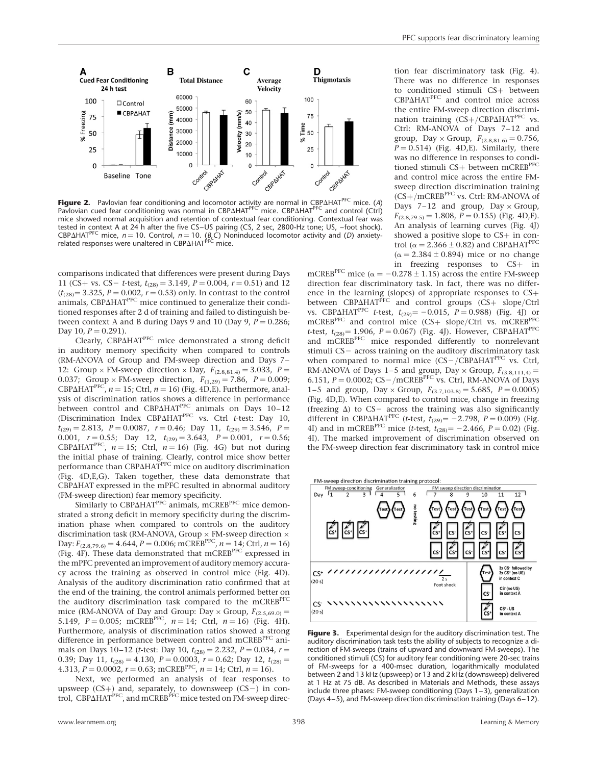

**Figure 2.** Pavlovian fear conditioning and locomotor activity are normal in CBPAHAT<sup>PFC</sup> mice. (A) Pavlovian cued fear conditioning was normal in CBPAHAT<sup>PFC'</sup> mice. CBPAHAT<sup>PFC</sup> and control (Ctrl) mice showed normal acquisition and retention of contextual fear conditioning. Contextual fear was tested in context A at 24 h after the five CS –US pairing (CS, 2 sec, 2800-Hz tone; US, –foot shock). CBP $\Delta$ HAT<sup>PFC</sup> mice, n = 10. Control, n = 10. (B,C) Noninduced locomotor activity and (D) anxietyrelated responses were unaltered in CBPAHAT<sup>PFC</sup> mice.

comparisons indicated that differences were present during Days 11 (CS+ vs. CS – t-test,  $t_{(28)} = 3.149$ ,  $P = 0.004$ ,  $r = 0.51$ ) and 12  $(t_{(28)} = 3.325, P = 0.002, r = 0.53)$  only. In contrast to the control animals, CBP $\Delta$ HAT<sup>PFC</sup> mice continued to generalize their conditioned responses after 2 d of training and failed to distinguish between context A and B during Days 9 and 10 (Day 9,  $P = 0.286$ ; Day 10,  $P = 0.291$ ).

Clearly, CBPAHAT<sup>PFC</sup> mice demonstrated a strong deficit in auditory memory specificity when compared to controls (RM-ANOVA of Group and FM-sweep direction and Days 7– 12: Group × FM-sweep direction × Day,  $F_{(2.8,81.4)} = 3.033$ ,  $P =$ 0.037; Group × FM-sweep direction,  $F_{(1,29)} = 7.86$ ,  $P = 0.009$ ; CBP $\triangle$ HAT<sup>PFC</sup>,  $n = 15$ ; Ctrl,  $n = 16$ ) (Fig. 4D,E). Furthermore, analysis of discrimination ratios shows a difference in performance between control and CBP $\Delta$ HAT<sup>PFC</sup> animals on Days 10-12 (Discrimination Index CBP $\Delta$ HAT<sup>PFC</sup> vs. Ctrl t-test: Day 10,  $t_{(29)} = 2.813$ ,  $P = 0.0087$ ,  $r = 0.46$ ; Day 11,  $t_{(29)} = 3.546$ ,  $P =$ 0.001,  $r = 0.55$ ; Day 12,  $t_{(29)} = 3.643$ ,  $P = 0.001$ ,  $r = 0.56$ ; CBP $\triangle$ HAT<sup>PFC</sup>,  $n = 15$ ; Ctrl,  $n = 16$ ) (Fig. 4G) but not during the initial phase of training. Clearly, control mice show better performance than CBP $\Delta$ HAT<sup>PFC</sup> mice on auditory discrimination (Fig. 4D,E,G). Taken together, these data demonstrate that CBP $\Delta$ HAT expressed in the mPFC resulted in abnormal auditory

(FM-sweep direction) fear memory specificity.<br>Similarly to  $CBP\Delta HAT^{PFC}$  animals, mCREB $^{PFC}$  mice demonstrated a strong deficit in memory specificity during the discrimination phase when compared to controls on the auditory discrimination task (RM-ANOVA, Group  $\times$  FM-sweep direction  $\times$ Day:  $F_{(2.8,79.6)} = 4.644$ ,  $P = 0.006$ ; mCREB<sup>PFC</sup>,  $n = 14$ ; Ctrl,  $n = 16$ ) (Fig. 4F). These data demonstrated that mCREBPFC expressed in the mPFC prevented an improvement of auditory memory accuracy across the training as observed in control mice (Fig. 4D). Analysis of the auditory discrimination ratio confirmed that at the end of the training, the control animals performed better on the auditory discrimination task compared to the mCREB<sup>PFC</sup> mice (RM-ANOVA of Day and Group: Day  $\times$  Group,  $F_{(2.5,69,0)}$  = 5.149,  $P = 0.005$ ; mCREB<sup>PFC</sup>,  $n = 14$ ; Ctrl,  $n = 16$ ) (Fig. 4H). Furthermore, analysis of discrimination ratios showed a strong difference in performance between control and mCREB<sup>PFC</sup> animals on Days 10–12 (*t*-test: Day 10,  $t_{(28)} = 2.232$ ,  $P = 0.034$ ,  $r =$ 0.39; Day 11,  $t_{(28)} = 4.130$ ,  $P = 0.0003$ ,  $r = 0.62$ ; Day 12,  $t_{(28)} =$ 4.313,  $P = 0.0002$ ,  $r = 0.63$ ; mCREB<sup>PFC</sup>,  $n = 14$ ; Ctrl,  $n = 16$ ).

Next, we performed an analysis of fear responses to upsweep (CS+) and, separately, to downsweep (CS−) in con-<br>trol, CBPΔHAT<sup>PFC</sup>, and mCREB<sup>PFC</sup> mice tested on FM-sweep direc-

tion fear discriminatory task (Fig. 4). There was no difference in responses to conditioned stimuli CS+ between CBP $\triangle$ HAT<sup>PFC</sup> and control mice across the entire FM-sweep direction discrimination training  $(CS+/CBP\Delta HAT^{PFC}$  vs. Ctrl: RM-ANOVA of Days 7–12 and group, Day  $\times$  Group,  $F_{(2.8,81.6)} = 0.756$ ,  $P = 0.514$ ) (Fig. 4D,E). Similarly, there was no difference in responses to conditioned stimuli CS+ between mCREB<sup>PFC</sup> and control mice across the entire FMsweep direction discrimination training  $(CS+/mCREB<sup>PFC</sup>$  vs. Ctrl: RM-ANOVA of Days 7–12 and group,  $Day \times Group$ ,  $F_{(2.8.79.5)} = 1.808$ ,  $P = 0.155$ ) (Fig. 4D,F). An analysis of learning curves (Fig. 4J) showed a positive slope to CS+ in control ( $\alpha = 2.366 \pm 0.82$ ) and CBP $\Delta$ HAT<sup>PFC</sup>  $(\alpha = 2.384 \pm 0.894)$  mice or no change in freezing responses to CS+ in

mCREB<sup>PFC</sup> mice ( $\alpha$  = -0.278 ± 1.15) across the entire FM-sweep direction fear discriminatory task. In fact, there was no difference in the learning (slopes) of appropriate responses to CS+ between CBPAHATPFC and control groups (CS+ slope/Ctrl vs. CBP $\Delta HAT^{PFC}$  t-test,  $t_{(29)} = -0.015$ ,  $P = 0.988$ ) (Fig. 4J) or mCREB<sup>PFC</sup> and control mice (CS+ slope/Ctrl vs. mCREB<sup>PFC</sup> t-test,  $t_{(28)} = 1.906$ ,  $P = 0.067$ ) (Fig. 4J). However, CBP $\Delta HAT^{PFC}$ and mCREB<sup>PFC</sup> mice responded differently to nonrelevant stimuli CS- across training on the auditory discriminatory task when compared to normal mice  $(CS-/CBP\Delta HAT^{PFC}$  vs. Ctrl, RM-ANOVA of Days 1–5 and group, Day  $\times$  Group,  $F_{(3,8,111,4)} =$ 6.151,  $P = 0.0002$ ; CS – /mCREB<sup>PFC</sup> vs. Ctrl, RM-ANOVA of Days 1–5 and group, Day  $\times$  Group,  $F_{(3,7,103,8)} = 5.685$ ,  $P = 0.0005$ ) (Fig. 4D,E). When compared to control mice, change in freezing (freezing  $\Delta$ ) to CS- across the training was also significantly different in CBP $\Delta$ HAT<sup>PFC</sup> (*t*-test,  $t_{(29)} = -2.798$ , *P* = 0.009) (Fig. 4I) and in mCREB<sup>PFC</sup> mice (*t*-test,  $t_{(28)} = -2.466$ , *P* = 0.02) (Fig. 4I). The marked improvement of discrimination observed on the FM-sweep direction fear discriminatory task in control mice



**Figure 3.** Experimental design for the auditory discrimination test. The auditory discrimination task tests the ability of subjects to recognize a direction of FM-sweeps (trains of upward and downward FM-sweeps). The conditioned stimuli (CS) for auditory fear conditioning were 20-sec trains of FM-sweeps for a 400-msec duration, logarithmically modulated between 2 and 13 kHz (upsweep) or 13 and 2 kHz (downsweep) delivered at 1 Hz at 75 dB. As described in Materials and Methods, these assays include three phases: FM-sweep conditioning (Days 1 –3), generalization (Days 4 –5), and FM-sweep direction discrimination training (Days 6 –12).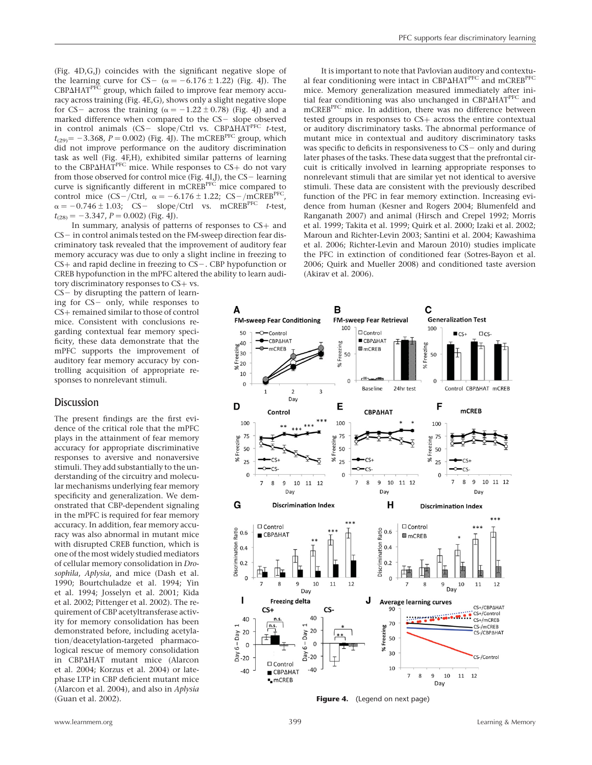(Fig. 4D,G,J) coincides with the significant negative slope of the learning curve for CS-  $(\alpha = -6.176 \pm 1.22)$  (Fig. 4J). The  $CBP\Delta HAT^{PFC}$  group, which failed to improve fear memory accuracy across training (Fig. 4E,G), shows only a slight negative slope for CS- across the training ( $\alpha = -1.22 \pm 0.78$ ) (Fig. 4J) and a marked difference when compared to the  $CS-$  slope observed in control animals (CS- slope/Ctrl vs. CBP $\Delta HAT^{PFC}$  t-test,  $t_{(29)}$  = -3.368, P = 0.002) (Fig. 4J). The mCREB<sup>PFC</sup> group, which did not improve performance on the auditory discrimination task as well (Fig. 4F,H), exhibited similar patterns of learning to the CBP $\triangle$ HAT<sup>PFC</sup> mice. While responses to CS+ do not vary from those observed for control mice (Fig. 4I,J), the  $CS-$  learning curve is significantly different in mCREBPFC mice compared to control mice  $(CS-/Ctrl, \alpha = -6.176 \pm 1.22; CS-/mCREB<sup>PEC</sup>,$  $\alpha = -0.746 \pm 1.03$ ; CS- slope/Ctrl vs. mCREB<sup>PFC</sup> t-test,  $t_{(28)} = -3.347, P = 0.002$  (Fig. 4J).

In summary, analysis of patterns of responses to CS+ and  $CS-$  in control animals tested on the FM-sweep direction fear discriminatory task revealed that the improvement of auditory fear memory accuracy was due to only a slight incline in freezing to  $CS+$  and rapid decline in freezing to  $CS-$ . CBP hypofunction or CREB hypofunction in the mPFC altered the ability to learn audi-

tory discriminatory responses to CS+ vs.  $CS-$  by disrupting the pattern of learning for CS- only, while responses to CS+ remained similar to those of control mice. Consistent with conclusions regarding contextual fear memory specificity, these data demonstrate that the mPFC supports the improvement of auditory fear memory accuracy by controlling acquisition of appropriate responses to nonrelevant stimuli.

# Discussion

The present findings are the first evidence of the critical role that the mPFC plays in the attainment of fear memory accuracy for appropriate discriminative responses to aversive and nonaversive stimuli. They add substantially to the understanding of the circuitry and molecular mechanisms underlying fear memory specificity and generalization. We demonstrated that CBP-dependent signaling in the mPFC is required for fear memory accuracy. In addition, fear memory accuracy was also abnormal in mutant mice with disrupted CREB function, which is one of the most widely studied mediators of cellular memory consolidation in Drosophila, Aplysia, and mice (Dash et al. 1990; Bourtchuladze et al. 1994; Yin et al. 1994; Josselyn et al. 2001; Kida et al. 2002; Pittenger et al. 2002). The requirement of CBP acetyltransferase activity for memory consolidation has been demonstrated before, including acetylation/deacetylation-targeted pharmacological rescue of memory consolidation in CBP $\Delta$ HAT mutant mice (Alarcon et al. 2004; Korzus et al. 2004) or latephase LTP in CBP deficient mutant mice (Alarcon et al. 2004), and also in Aplysia (Guan et al. 2002).

It is important to note that Pavlovian auditory and contextual fear conditioning were intact in CBP $\Delta$ HAT<sup>PFC</sup> and mCREB<sup>PFC</sup> mice. Memory generalization measured immediately after initial fear conditioning was also unchanged in CBPAHAT<sup>PFC</sup> and mCREB<sup>PFC</sup> mice. In addition, there was no difference between tested groups in responses to CS+ across the entire contextual or auditory discriminatory tasks. The abnormal performance of mutant mice in contextual and auditory discriminatory tasks was specific to deficits in responsiveness to  $CS-$  only and during later phases of the tasks. These data suggest that the prefrontal circuit is critically involved in learning appropriate responses to nonrelevant stimuli that are similar yet not identical to aversive stimuli. These data are consistent with the previously described function of the PFC in fear memory extinction. Increasing evidence from human (Kesner and Rogers 2004; Blumenfeld and Ranganath 2007) and animal (Hirsch and Crepel 1992; Morris et al. 1999; Takita et al. 1999; Quirk et al. 2000; Izaki et al. 2002; Maroun and Richter-Levin 2003; Santini et al. 2004; Kawashima et al. 2006; Richter-Levin and Maroun 2010) studies implicate the PFC in extinction of conditioned fear (Sotres-Bayon et al. 2006; Quirk and Mueller 2008) and conditioned taste aversion (Akirav et al. 2006).



Figure 4. (Legend on next page)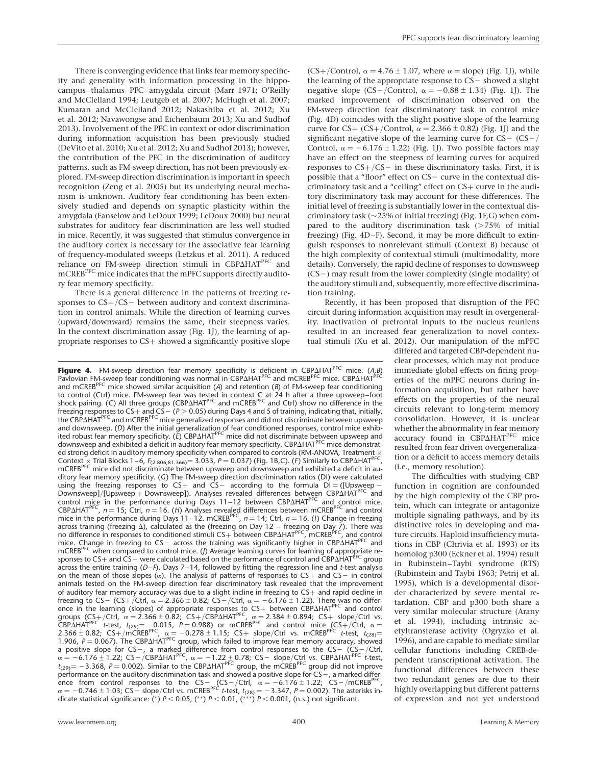$(CS+$ /Control,  $\alpha = 4.76 \pm 1.07$ , where  $\alpha =$  slope) (Fig. 1J), while

There is converging evidence that links fear memory specificity and generality with information processing in the hippocampus–thalamus–PFC–amygdala circuit (Marr 1971; O'Reilly and McClelland 1994; Leutgeb et al. 2007; McHugh et al. 2007; Kumaran and McClelland 2012; Nakashiba et al. 2012; Xu et al. 2012; Navawongse and Eichenbaum 2013; Xu and Sudhof 2013). Involvement of the PFC in context or odor discrimination during information acquisition has been previously studied (DeVito et al. 2010; Xu et al. 2012; Xu and Sudhof 2013); however, the contribution of the PFC in the discrimination of auditory patterns, such as FM-sweep direction, has not been previously explored. FM-sweep direction discrimination is important in speech recognition (Zeng et al. 2005) but its underlying neural mechanism is unknown. Auditory fear conditioning has been extensively studied and depends on synaptic plasticity within the amygdala (Fanselow and LeDoux 1999; LeDoux 2000) but neural substrates for auditory fear discrimination are less well studied in mice. Recently, it was suggested that stimulus convergence in the auditory cortex is necessary for the associative fear learning of frequency-modulated sweeps (Letzkus et al. 2011). A reduced reliance on FM-sweep direction stimuli in CBP $\Delta HAT^{PFC}$  and  $\rm mCREB^{PFC}$  mice indicates that the mPFC supports directly auditory fear memory specificity.

There is a general difference in the patterns of freezing responses to  $CS+/CS-$  between auditory and context discrimination in control animals. While the direction of learning curves (upward/downward) remains the same, their steepness varies. In the context discrimination assay (Fig. 1J), the learning of appropriate responses to CS+ showed a significantly positive slope

Figure 4. FM-sweep direction fear memory specificity is deficient in CBPAHAT<sup>PFC</sup> mice. (A,B) Pavlovian FM-sweep fear conditioning was normal in CBPAHAT<sup>PFC</sup> and mCREB<sup>PFC</sup> mice. CBPAHAT<sup>P</sup> and mCREB<sup>PFC</sup> mice showed similar acquisition (A) and retention (B) of FM-sweep fear conditioning to control (Ctrl) mice. FM-sweep fear was tested in context С at 24 h after a three upsweep–foot<br>shock pairing. (С) All three groups (СВР∆НАТ<sup>РFC</sup> and mCREB<sup>PFC</sup> and Ctrl) show no difference in the freezing responses to CS+ and CS− (*P >* 0.05) during Days 4 and 5 of training, indicating that, initially,<br>the CBP∆HAT<sup>PFC</sup> and mCREB<sup>PFC</sup> mice generalized responses and did not discriminate between upsweep and downsweep. (D) After the initial generalization of fear conditioned responses, control mice exhib-<br>ited robust fear memory specificity. (*E*) CBP∆HAT<sup>PFC</sup> mice did not discriminate between upsweep and downsweep and exhibited a deficit in auditory fear memory specificity. CBPAHAT<sup>PFC</sup> mice demonstrated strong deficit in auditory memory specificity when compared to controls (RM-ANOVA, Treatment  $\times$ Context × Trial Blocks 1–6,  $F_{(2.806,81.366)}$  = 3.033, P = 0.037) (Fig. 1B,C). (F) Similarly to CBP $\Delta HAT^{PFC}$ , mCREB<sup>PFC</sup> mice did not discriminate between upsweep and downsweep and exhibited a deficit in auditory fear memory specificity. (G) The FM-sweep direction discrimination ratios (DI) were calculated using the freezing responses to CS+ and CS- according to the formula  $DI = ([Upsweep – Downsweep])$ . Analyses revealed differences between CBP $\Delta HAT^{PFC}$  and control mice in the performance during Days  $11-12$  between CBP $\Delta HAT^{PFC}$  and control mice. CBP $\Delta$ HAT<sup>PFC</sup>,  $n = 15$ ; Ctrl,  $n = 16$ . (H) Analyses revealed differences between mCREB<sup>PFC</sup> and control mice in the performance during Days 11–12. mCREB<sup>PFC</sup>,  $n = 14$ ; Ctrl,  $n = 16$ . (*I*) Change in freezing across training (freezing  $\Delta$ ), calculated as the (freezing on Day 12 – freezing on Day 7). There was<br>no difference in responses to conditioned stimuli CS+ between CBP $\Delta$ HAT<sup>PFC</sup>, mCREBPFC, and control mice. Change in freezing to CS- across the training was significantly higher in CBP $\Delta$ HAT<sup>PFC</sup> and mCREB<sup>PFC</sup> when compared to control mice. (*J*) Average learning curves for learning of appropriate responses to CS+ and CS - were calculated based on the performance of control and CBPAHAT<sup>PFC</sup> group across the entire training  $(D-F)$ , Days 7-14, followed by fitting the regression line and t-test analysis on the mean of those slopes  $(\alpha)$ . The analysis of patterns of responses to CS+ and CS- in control animals tested on the FM-sweep direction fear discriminatory task revealed that the improvement of auditory fear memory accuracy was due to a slight incline in freezing to  $CS+$  and rapid decline in freezing to CS- (CS+/Ctrl,  $\alpha = 2.366 \pm 0.82$ ; CS-/Ctrl,  $\alpha = -6.176 \pm 1.22$ ). There was no difference in the learning (slopes) of appropriate responses to  $CS$ + between  $CBP\Delta HAT^{PFC}$  and control groups  $(CS_+/Ctr)$ ,  $\alpha = 2.366 \pm 0.82$ ;  $CS_+/CBP\Delta HAT^{PFC}$ ,  $\alpha = 2.384 \pm 0.894$ ;  $CS_+$  slope/Ctrl vs. CBPAHAT<sup>PFC</sup> t-test,  $t_{(29)} = -0.015$ ,  $P = 0.988$ ) or mCREB<sup>PFC</sup> and control mice (CS+/Ctrl,  $\alpha =$ 2.366  $\pm$  0.82; CS+/mCREB<sup>PFC</sup>,  $\alpha = -0.278 \pm 1.15$ ; CS+ slope/Ctrl vs. mCREB<sup>PFC</sup> t-test, t<sub>(28)</sub>=<br>1.906, P = 0.067). The CBP∆HAT<sup>PFC</sup> group, which failed to improve fear memory accuracy, showed a positive slope for CS-, a marked difference from control responses to the CS- (CS-/Ctrl,<br> $\alpha = -6.176 \pm 1.22$ ; CS-/CBPΔHAT<sup>PFC</sup>,  $\alpha = -1.22 \pm 0.78$ ; CS- slope/Ctrl vs. CBPΔHAT<sup>PFC</sup> *t*-test,  $t_{(29)} = -3.368$ ,  $P = 0.002$ ). Similar to the CBP $\Delta$ HAT<sup>PFC</sup> group, the mCREB<sup>PFC</sup> group did not improve performance on the auditory discrimination task and showed a positive slope for CS – , a marked differ-<br>ence from control responses to the CS – (CS – /Ctrl,  $\alpha = -6.176 \pm 1.22$ ; CS – /mCREB<sup>PFC</sup>,  $\alpha = -0.746 \pm 1.03$ ; CS $-$  slope/Ctrl vs. mCREB<sup>PFC</sup> t-test, t<sub>(28)</sub> =  $-3.347$ , P = 0.002). The asterisks in-<br>dicate statistical significance: (\*) P < 0.05, (\*\*) P < 0.01, (\*\*\*) P < 0.001, (n.s.) not significant.

the learning of the appropriate response to  $CS-$  showed a slight negative slope (CS-/Control,  $\alpha = -0.88 \pm 1.34$ ) (Fig. 1J). The marked improvement of discrimination observed on the FM-sweep direction fear discriminatory task in control mice (Fig. 4D) coincides with the slight positive slope of the learning curve for CS+ (CS+/Control,  $\alpha = 2.366 \pm 0.82$ ) (Fig. 1J) and the significant negative slope of the learning curve for  $CS - (CS -/$ Control,  $\alpha = -6.176 \pm 1.22$ ) (Fig. 1J). Two possible factors may have an effect on the steepness of learning curves for acquired responses to  $CS+/CS-$  in these discriminatory tasks. First, it is possible that a "floor" effect on  $CS-$  curve in the contextual discriminatory task and a "ceiling" effect on CS+ curve in the auditory discriminatory task may account for these differences. The initial level of freezing is substantially lower in the contextual discriminatory task ( $\sim$ 25% of initial freezing) (Fig. 1F, G) when compared to the auditory discrimination task  $($ >75% of initial freezing) (Fig. 4D–F). Second, it may be more difficult to extinguish responses to nonrelevant stimuli (Context B) because of the high complexity of contextual stimuli (multimodality, more details). Conversely, the rapid decline of responses to downsweep  $(CS-)$  may result from the lower complexity (single modality) of the auditory stimuli and, subsequently, more effective discrimination training.

Recently, it has been proposed that disruption of the PFC circuit during information acquisition may result in overgenerality. Inactivation of prefrontal inputs to the nucleus reuniens resulted in an increased fear generalization to novel contextual stimuli (Xu et al. 2012). Our manipulation of the mPFC

> differed and targeted CBP-dependent nuclear processes, which may not produce immediate global effects on firing properties of the mPFC neurons during information acquisition, but rather have effects on the properties of the neural circuits relevant to long-term memory consolidation. However, it is unclear whether the abnormality in fear memory accuracy found in CBPAHAT<sup>PFC</sup> mice resulted from fear driven overgeneralization or a deficit to access memory details (i.e., memory resolution).

> The difficulties with studying CBP function in cognition are confounded by the high complexity of the CBP protein, which can integrate or antagonize multiple signaling pathways, and by its distinctive roles in developing and mature circuits. Haploid insufficiency mutations in CBP (Chrivia et al. 1993) or its homolog p300 (Eckner et al. 1994) result in Rubinstein–Taybi syndrome (RTS) (Rubinstein and Taybi 1963; Petrij et al. 1995), which is a developmental disorder characterized by severe mental retardation. CBP and p300 both share a very similar molecular structure (Arany et al. 1994), including intrinsic acetyltransferase activity (Ogryzko et al. 1996), and are capable to mediate similar cellular functions including CREB-dependent transcriptional activation. The functional differences between these two redundant genes are due to their highly overlapping but different patterns of expression and not yet understood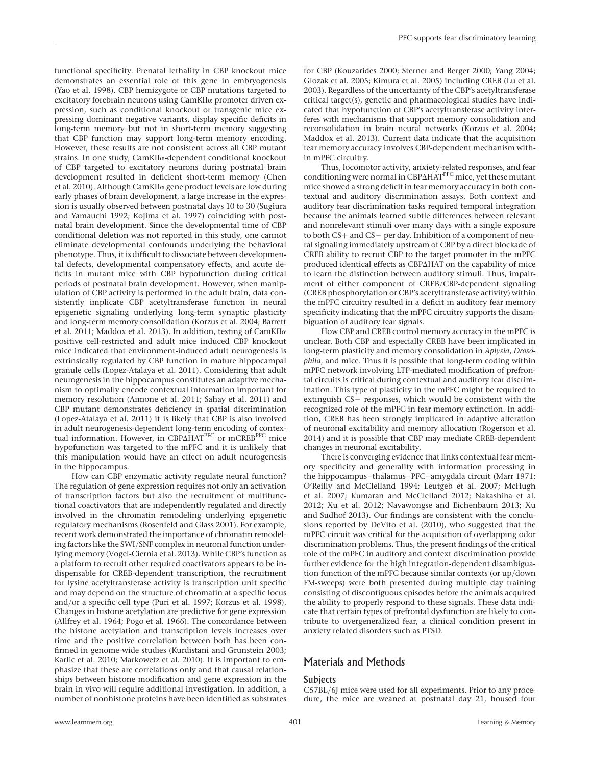functional specificity. Prenatal lethality in CBP knockout mice demonstrates an essential role of this gene in embryogenesis (Yao et al. 1998). CBP hemizygote or CBP mutations targeted to excitatory forebrain neurons using CamKIIa promoter driven expression, such as conditional knockout or transgenic mice expressing dominant negative variants, display specific deficits in long-term memory but not in short-term memory suggesting that CBP function may support long-term memory encoding. However, these results are not consistent across all CBP mutant strains. In one study, CamKIIa-dependent conditional knockout of CBP targeted to excitatory neurons during postnatal brain development resulted in deficient short-term memory (Chen et al. 2010). Although CamKIIa gene product levels are low during early phases of brain development, a large increase in the expression is usually observed between postnatal days 10 to 30 (Sugiura and Yamauchi 1992; Kojima et al. 1997) coinciding with postnatal brain development. Since the developmental time of CBP conditional deletion was not reported in this study, one cannot eliminate developmental confounds underlying the behavioral phenotype. Thus, it is difficult to dissociate between developmental defects, developmental compensatory effects, and acute deficits in mutant mice with CBP hypofunction during critical periods of postnatal brain development. However, when manipulation of CBP activity is performed in the adult brain, data consistently implicate CBP acetyltransferase function in neural epigenetic signaling underlying long-term synaptic plasticity and long-term memory consolidation (Korzus et al. 2004; Barrett et al. 2011; Maddox et al. 2013). In addition, testing of CamKIIa positive cell-restricted and adult mice induced CBP knockout mice indicated that environment-induced adult neurogenesis is extrinsically regulated by CBP function in mature hippocampal granule cells (Lopez-Atalaya et al. 2011). Considering that adult neurogenesis in the hippocampus constitutes an adaptive mechanism to optimally encode contextual information important for memory resolution (Aimone et al. 2011; Sahay et al. 2011) and CBP mutant demonstrates deficiency in spatial discrimination (Lopez-Atalaya et al. 2011) it is likely that CBP is also involved in adult neurogenesis-dependent long-term encoding of contextual information. However, in CBP $\Delta$ HAT<sup>PFC</sup> or mCREB<sup>PFC</sup> mice hypofunction was targeted to the mPFC and it is unlikely that this manipulation would have an effect on adult neurogenesis in the hippocampus.

How can CBP enzymatic activity regulate neural function? The regulation of gene expression requires not only an activation of transcription factors but also the recruitment of multifunctional coactivators that are independently regulated and directly involved in the chromatin remodeling underlying epigenetic regulatory mechanisms (Rosenfeld and Glass 2001). For example, recent work demonstrated the importance of chromatin remodeling factors like the SWI/SNF complex in neuronal function underlying memory (Vogel-Ciernia et al. 2013). While CBP's function as a platform to recruit other required coactivators appears to be indispensable for CREB-dependent transcription, the recruitment for lysine acetyltransferase activity is transcription unit specific and may depend on the structure of chromatin at a specific locus and/or a specific cell type (Puri et al. 1997; Korzus et al. 1998). Changes in histone acetylation are predictive for gene expression (Allfrey et al. 1964; Pogo et al. 1966). The concordance between the histone acetylation and transcription levels increases over time and the positive correlation between both has been confirmed in genome-wide studies (Kurdistani and Grunstein 2003; Karlic et al. 2010; Markowetz et al. 2010). It is important to emphasize that these are correlations only and that causal relationships between histone modification and gene expression in the brain in vivo will require additional investigation. In addition, a number of nonhistone proteins have been identified as substrates for CBP (Kouzarides 2000; Sterner and Berger 2000; Yang 2004; Glozak et al. 2005; Kimura et al. 2005) including CREB (Lu et al. 2003). Regardless of the uncertainty of the CBP's acetyltransferase critical target(s), genetic and pharmacological studies have indicated that hypofunction of CBP's acetyltransferase activity interferes with mechanisms that support memory consolidation and reconsolidation in brain neural networks (Korzus et al. 2004; Maddox et al. 2013). Current data indicate that the acquisition fear memory accuracy involves CBP-dependent mechanism within mPFC circuitry.

Thus, locomotor activity, anxiety-related responses, and fear conditioning were normal in  $CBP\Delta H\overline{AT}^{PFC}$  mice, yet these mutant mice showed a strong deficit in fear memory accuracy in both contextual and auditory discrimination assays. Both context and auditory fear discrimination tasks required temporal integration because the animals learned subtle differences between relevant and nonrelevant stimuli over many days with a single exposure to both  $CS+$  and  $CS-$  per day. Inhibition of a component of neural signaling immediately upstream of CBP by a direct blockade of CREB ability to recruit CBP to the target promoter in the mPFC produced identical effects as CBP $\Delta$ HAT on the capability of mice to learn the distinction between auditory stimuli. Thus, impairment of either component of CREB/CBP-dependent signaling (CREB phosphorylation or CBP's acetyltransferase activity) within the mPFC circuitry resulted in a deficit in auditory fear memory specificity indicating that the mPFC circuitry supports the disambiguation of auditory fear signals.

How CBP and CREB control memory accuracy in the mPFC is unclear. Both CBP and especially CREB have been implicated in long-term plasticity and memory consolidation in Aplysia, Drosophila, and mice. Thus it is possible that long-term coding within mPFC network involving LTP-mediated modification of prefrontal circuits is critical during contextual and auditory fear discrimination. This type of plasticity in the mPFC might be required to extinguish  $CS$  - responses, which would be consistent with the recognized role of the mPFC in fear memory extinction. In addition, CREB has been strongly implicated in adaptive alteration of neuronal excitability and memory allocation (Rogerson et al. 2014) and it is possible that CBP may mediate CREB-dependent changes in neuronal excitability.

There is converging evidence that links contextual fear memory specificity and generality with information processing in the hippocampus–thalamus–PFC–amygdala circuit (Marr 1971; O'Reilly and McClelland 1994; Leutgeb et al. 2007; McHugh et al. 2007; Kumaran and McClelland 2012; Nakashiba et al. 2012; Xu et al. 2012; Navawongse and Eichenbaum 2013; Xu and Sudhof 2013). Our findings are consistent with the conclusions reported by DeVito et al. (2010), who suggested that the mPFC circuit was critical for the acquisition of overlapping odor discrimination problems. Thus, the present findings of the critical role of the mPFC in auditory and context discrimination provide further evidence for the high integration-dependent disambiguation function of the mPFC because similar contexts (or up/down FM-sweeps) were both presented during multiple day training consisting of discontiguous episodes before the animals acquired the ability to properly respond to these signals. These data indicate that certain types of prefrontal dysfunction are likely to contribute to overgeneralized fear, a clinical condition present in anxiety related disorders such as PTSD.

# Materials and Methods

## **Subjects**

C57BL/6J mice were used for all experiments. Prior to any procedure, the mice are weaned at postnatal day 21, housed four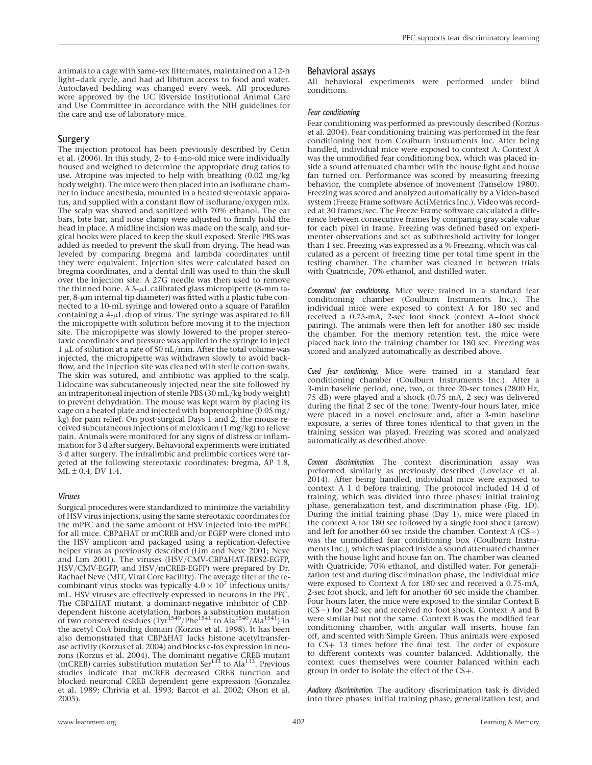animals to a cage with same-sex littermates, maintained on a 12-h light–dark cycle, and had ad libitum access to food and water. Autoclaved bedding was changed every week. All procedures were approved by the UC Riverside Institutional Animal Care and Use Committee in accordance with the NIH guidelines for the care and use of laboratory mice.

## **Surgery**

The injection protocol has been previously described by Cetin et al. (2006). In this study, 2- to 4-mo-old mice were individually housed and weighed to determine the appropriate drug ratios to use. Atropine was injected to help with breathing (0.02 mg/kg body weight). The mice were then placed into an isoflurane chamber to induce anesthesia, mounted in a heated stereotaxic apparatus, and supplied with a constant flow of isoflurane/oxygen mix. The scalp was shaved and sanitized with 70% ethanol. The ear bars, bite bar, and nose clamp were adjusted to firmly hold the head in place. A midline incision was made on the scalp, and surgical hooks were placed to keep the skull exposed. Sterile PBS was added as needed to prevent the skull from drying. The head was leveled by comparing bregma and lambda coordinates until they were equivalent. Injection sites were calculated based on bregma coordinates, and a dental drill was used to thin the skull over the injection site. A 27G needle was then used to remove the thinned bone. A 5- $\mu$ L calibrated glass micropipette (8-mm ta $per, 8$ - $\mu$ m internal tip diameter) was fitted with a plastic tube connected to a 10-mL syringe and lowered onto a square of Parafilm containing a  $4-\mu L$  drop of virus. The syringe was aspirated to fill the micropipette with solution before moving it to the injection site. The micropipette was slowly lowered to the proper stereotaxic coordinates and pressure was applied to the syringe to inject  $1 \mu$ L of solution at a rate of 50 nL/min. After the total volume was injected, the micropipette was withdrawn slowly to avoid backflow, and the injection site was cleaned with sterile cotton swabs. The skin was sutured, and antibiotic was applied to the scalp. Lidocaine was subcutaneously injected near the site followed by an intraperitoneal injection of sterile PBS (30 mL/kg body weight) to prevent dehydration. The mouse was kept warm by placing its cage on a heated plate and injected with buprenorphine (0.05 mg/ kg) for pain relief. On post-surgical Days  $\hat{1}$  and  $\hat{2}$ , the mouse received subcutaneous injections of meloxicam (1 mg/kg) to relieve pain. Animals were monitored for any signs of distress or inflammation for 3 d after surgery. Behavioral experiments were initiated 3 d after surgery. The infralimbic and prelimbic cortices were targeted at the following stereotaxic coordinates: bregma, AP 1.8,  $ML \pm 0.4$ , DV 1.4.

## Viruses

Surgical procedures were standardized to minimize the variability of HSV virus injections, using the same stereotaxic coordinates for the mPFC and the same amount of HSV injected into the mPFC for all mice. CBPAHAT or mCREB and/or EGFP were cloned into the HSV amplicon and packaged using a replication-defective helper virus as previously described (Lim and Neve 2001; Neve and Lim 2001). The viruses (HSV/CMV-CBPAHAT-IRES2-EGFP, HSV/CMV-EGFP, and HSV/mCREB-EGFP) were prepared by Dr. Rachael Neve (MIT, Viral Core Facility). The average titer of the recombinant virus stocks was typically  $4.0 \times 10^7$  infectious units/ mL. HSV viruses are effectively expressed in neurons in the PFC. The CBP $\Delta$ HAT mutant, a dominant-negative inhibitor of CBPdependent histone acetylation, harbors a substitution mutation<br>of two conserved residues (Tyr<sup>1540</sup>/Phe<sup>1541</sup> to Ala<sup>1540</sup>/Ala<sup>1541</sup>) in the acetyl CoA binding domain (Korzus et al. 1998). It has been also demonstrated that CBP $\Delta$ HAT lacks histone acetyltransferase activity (Korzus et al. 2004) and blocks c-fos expression in neurons (Korzus et al. 2004). The dominant negative CREB mutant (mCREB) carries substitution mutation Ser $^{133}$  to Ala<sup>133</sup>. Previous studies indicate that mCREB decreased CREB function and blocked neuronal CREB dependent gene expression (Gonzalez et al. 1989; Chrivia et al. 1993; Barrot et al. 2002; Olson et al. 2005).

#### Behavioral assays

All behavioral experiments were performed under blind conditions.

## Fear conditioning

Fear conditioning was performed as previously described (Korzus et al. 2004). Fear conditioning training was performed in the fear conditioning box from Coulburn Instruments Inc. After being handled, individual mice were exposed to context A. Context A was the unmodified fear conditioning box, which was placed inside a sound attenuated chamber with the house light and house fan turned on. Performance was scored by measuring freezing behavior, the complete absence of movement (Fanselow 1980). Freezing was scored and analyzed automatically by a Video-based system (Freeze Frame software ActiMetrics Inc.). Video was recorded at 30 frames/sec. The Freeze Frame software calculated a difference between consecutive frames by comparing gray scale value for each pixel in frame. Freezing was defined based on experimenter observations and set as subthreshold activity for longer than 1 sec. Freezing was expressed as a % Freezing, which was calculated as a percent of freezing time per total time spent in the testing chamber. The chamber was cleaned in between trials with Quatricide, 70% ethanol, and distilled water.

Contextual fear conditioning. Mice were trained in a standard fear conditioning chamber (Coulburn Instruments Inc.). The individual mice were exposed to context A for 180 sec and received a 0.75-mA, 2-sec foot shock (context A–foot shock pairing). The animals were then left for another 180 sec inside the chamber. For the memory retention test, the mice were placed back into the training chamber for 180 sec. Freezing was scored and analyzed automatically as described above.

Cued fear conditioning. Mice were trained in a standard fear conditioning chamber (Coulburn Instruments Inc.). After a 3-min baseline period, one, two, or three 20-sec tones (2800 Hz, 75 dB) were played and a shock (0.75 mA, 2 sec) was delivered during the final 2 sec of the tone. Twenty-four hours later, mice were placed in a novel enclosure and, after a 3-min baseline exposure, a series of three tones identical to that given in the training session was played. Freezing was scored and analyzed automatically as described above.

Context discrimination. The context discrimination assay was preformed similarly as previously described (Lovelace et al. 2014). After being handled, individual mice were exposed to context A 1 d before training. The protocol included 14 d of training, which was divided into three phases: initial training phase, generalization test, and discrimination phase (Fig. 1D). During the initial training phase (Day 1), mice were placed in the context A for 180 sec followed by a single foot shock (arrow) and left for another 60 sec inside the chamber. Context  $A (CS+)$ was the unmodified fear conditioning box (Coulburn Instruments Inc.), which was placed inside a sound attenuated chamber with the house light and house fan on. The chamber was cleaned with Quatricide, 70% ethanol, and distilled water. For generalization test and during discrimination phase, the individual mice were exposed to Context A for 180 sec and received a 0.75-mA, 2-sec foot shock, and left for another 60 sec inside the chamber. Four hours later, the mice were exposed to the similar Context B  $(CS-)$  for 242 sec and received no foot shock. Context A and B were similar but not the same. Context B was the modified fear conditioning chamber, with angular wall inserts, house fan off, and scented with Simple Green. Thus animals were exposed to CS+ 13 times before the final test. The order of exposure to different contexts was counter balanced. Additionally, the context cues themselves were counter balanced within each group in order to isolate the effect of the CS+.

Auditory discrimination. The auditory discrimination task is divided into three phases: initial training phase, generalization test, and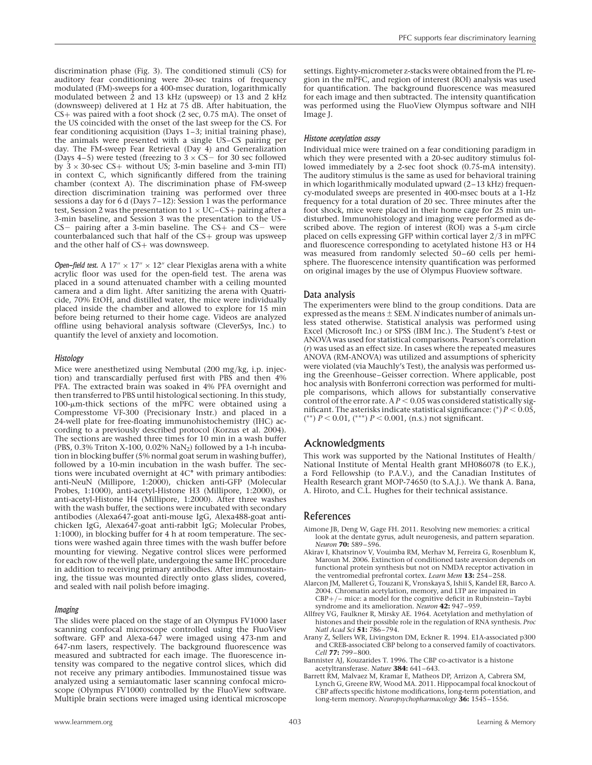discrimination phase (Fig. 3). The conditioned stimuli (CS) for auditory fear conditioning were 20-sec trains of frequency modulated (FM)-sweeps for a 400-msec duration, logarithmically modulated between 2 and 13 kHz (upsweep) or 13 and 2 kHz (downsweep) delivered at 1 Hz at 75 dB. After habituation, the CS+ was paired with a foot shock (2 sec, 0.75 mA). The onset of the US coincided with the onset of the last sweep for the CS. For fear conditioning acquisition (Days 1–3; initial training phase), the animals were presented with a single US–CS pairing per day. The FM-sweep Fear Retrieval (Day 4) and Generalization (Days 4–5) were tested (freezing to  $3 \times CS$  for 30 sec followed by  $3 \times 30$ -sec CS+ without US; 3-min baseline and 3-min ITI) in context C, which significantly differed from the training chamber (context A). The discrimination phase of FM-sweep direction discrimination training was performed over three sessions a day for 6 d (Days  $7-12$ ): Session 1 was the performance test, Session 2 was the presentation to  $1 \times UC-CS+$  pairing after a 3-min baseline, and Session 3 was the presentation to the US–  $CS-$  pairing after a 3-min baseline. The  $CS+$  and  $CS-$  were counterbalanced such that half of the CS+ group was upsweep and the other half of CS+ was downsweep.

Open-field test. A  $17'' \times 17'' \times 12''$  clear Plexiglas arena with a white acrylic floor was used for the open-field test. The arena was placed in a sound attenuated chamber with a ceiling mounted camera and a dim light. After sanitizing the arena with Quatricide, 70% EtOH, and distilled water, the mice were individually placed inside the chamber and allowed to explore for 15 min before being returned to their home cage. Videos are analyzed offline using behavioral analysis software (CleverSys, Inc.) to quantify the level of anxiety and locomotion.

## Histology

Mice were anesthetized using Nembutal (200 mg/kg, i.p. injection) and transcardially perfused first with PBS and then 4% PFA. The extracted brain was soaked in 4% PFA overnight and then transferred to PBS until histological sectioning. In this study,  $100$ - $\mu$ m-thick sections of the mPFC were obtained using a Compresstome VF-300 (Precisionary Instr.) and placed in a 24-well plate for free-floating immunohistochemistry (IHC) according to a previously described protocol (Korzus et al. 2004). The sections are washed three times for 10 min in a wash buffer (PBS, 0.3% Triton X-100, 0.02% NaN2) followed by a 1-h incubation in blocking buffer (5% normal goat serum in washing buffer), followed by a 10-min incubation in the wash buffer. The sections were incubated overnight at 4C<sup>°</sup> with primary antibodies:<br>anti-NauN (Millipere, 1:2000), shielten, anti-CEP (Melecular anti-NeuN (Millipore, 1:2000), chicken anti-GFP (Molecular Probes, 1:1000), anti-acetyl-Histone H3 (Millipore, 1:2000), or anti-acetyl-Histone H4 (Millipore, 1:2000). After three washes with the wash buffer, the sections were incubated with secondary antibodies (Alexa647-goat anti-mouse IgG, Alexa488-goat antichicken IgG, Alexa647-goat anti-rabbit IgG; Molecular Probes, 1:1000), in blocking buffer for 4 h at room temperature. The sections were washed again three times with the wash buffer before mounting for viewing. Negative control slices were performed for each row of the well plate, undergoing the same IHC procedure in addition to receiving primary antibodies. After immunostaining, the tissue was mounted directly onto glass slides, covered, and sealed with nail polish before imaging.

## Imaging

The slides were placed on the stage of an Olympus FV1000 laser scanning confocal microscope controlled using the FluoView software. GFP and Alexa-647 were imaged using 473-nm and 647-nm lasers, respectively. The background fluorescence was measured and subtracted for each image. The fluorescence intensity was compared to the negative control slices, which did not receive any primary antibodies. Immunostained tissue was analyzed using a semiautomatic laser scanning confocal microscope (Olympus FV1000) controlled by the FluoView software. Multiple brain sections were imaged using identical microscope

settings. Eighty-micrometer z-stacks were obtained from the PL region in the mPFC, and region of interest (ROI) analysis was used for quantification. The background fluorescence was measured for each image and then subtracted. The intensity quantification was performed using the FluoView Olympus software and NIH Image J.

## Histone acetylation assay

Individual mice were trained on a fear conditioning paradigm in which they were presented with a 20-sec auditory stimulus followed immediately by a 2-sec foot shock (0.75-mA intensity). The auditory stimulus is the same as used for behavioral training in which logarithmically modulated upward (2–13 kHz) frequency-modulated sweeps are presented in 400-msec bouts at a 1-Hz frequency for a total duration of 20 sec. Three minutes after the foot shock, mice were placed in their home cage for 25 min undisturbed. Immunohistology and imaging were performed as described above. The region of interest  $(ROI)$  was a 5- $\mu$ m circle placed on cells expressing GFP within cortical layer 2/3 in mPFC and fluorescence corresponding to acetylated histone H3 or H4 was measured from randomly selected 50–60 cells per hemisphere. The fluorescence intensity quantification was performed on original images by the use of Olympus Fluoview software.

## Data analysis

The experimenters were blind to the group conditions. Data are expressed as the means  $\pm$  SEM. N indicates number of animals unless stated otherwise. Statistical analysis was performed using Excel (Microsoft Inc.) or SPSS (IBM Inc.). The Student's t-test or ANOVA was used for statistical comparisons. Pearson's correlation (r) was used as an effect size. In cases where the repeated measures ANOVA (RM-ANOVA) was utilized and assumptions of sphericity were violated (via Mauchly's Test), the analysis was performed using the Greenhouse–Geisser correction. Where applicable, post hoc analysis with Bonferroni correction was performed for multiple comparisons, which allows for substantially conservative control of the error rate. A  $P < 0.05$  was considered statistically significant. The asterisks indicate statistical significance:  $(*) P < 0.05$ , (\*\*)  $P < 0.01$ , (\*\*\*)  $P < 0.001$ , (n.s.) not significant.

# Acknowledgments

This work was supported by the National Institutes of Health/ National Institute of Mental Health grant MH086078 (to E.K.), a Ford Fellowship (to P.A.V.), and the Canadian Institutes of Health Research grant MOP-74650 (to S.A.J.). We thank A. Bana, A. Hiroto, and C.L. Hughes for their technical assistance.

# References

- Aimone JB, Deng W, Gage FH. 2011. Resolving new memories: a critical look at the dentate gyrus, adult neurogenesis, and pattern separation. Neuron **70:** 589-596.
- Akirav I, Khatsrinov V, Vouimba RM, Merhav M, Ferreira G, Rosenblum K, Maroun M. 2006. Extinction of conditioned taste aversion depends on functional protein synthesis but not on NMDA receptor activation in the ventromedial prefrontal cortex. Learn Mem 13: 254-258.
- Alarcon JM, Malleret G, Touzani K, Vronskaya S, Ishii S, Kandel ER, Barco A. 2004. Chromatin acetylation, memory, and LTP are impaired in  $CBP+/-$  mice: a model for the cognitive deficit in Rubinstein–Taybi syndrome and its amelioration. Neuron 42: 947-959.
- Allfrey VG, Faulkner R, Mirsky AE. 1964. Acetylation and methylation of histones and their possible role in the regulation of RNA synthesis. Proc Natl Acad Sci 51: 786-794.
- Arany Z, Sellers WR, Livingston DM, Eckner R. 1994. E1A-associated p300 and CREB-associated CBP belong to a conserved family of coactivators. Cell 77: 799–800.
- Bannister AJ, Kouzarides T. 1996. The CBP co-activator is a histone acetyltransferase. Nature 384: 641–643.
- Barrett RM, Malvaez M, Kramar E, Matheos DP, Arrizon A, Cabrera SM, Lynch G, Greene RW, Wood MA. 2011. Hippocampal focal knockout of CBP affects specific histone modifications, long-term potentiation, and long-term memory. Neuropsychopharmacology 36: 1545-1556.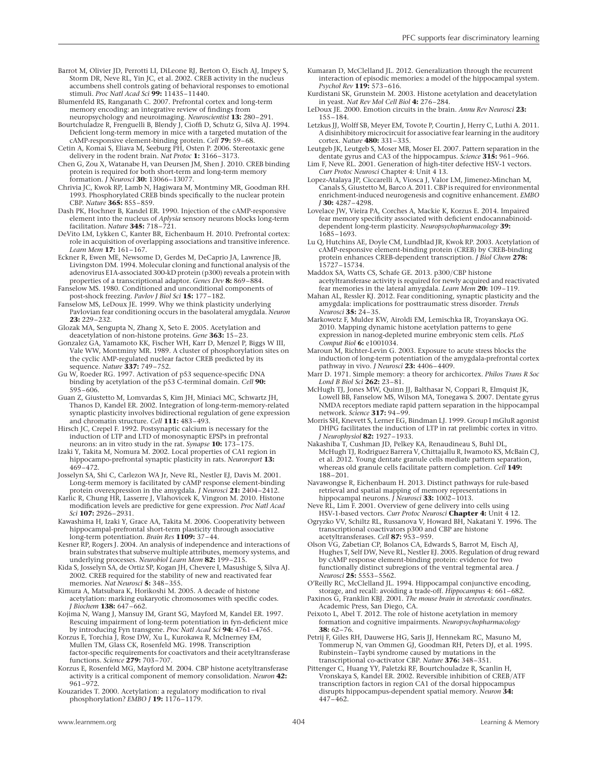- Barrot M, Olivier JD, Perrotti LI, DiLeone RJ, Berton O, Eisch AJ, Impey S, Storm DR, Neve RL, Yin JC, et al. 2002. CREB activity in the nucleus accumbens shell controls gating of behavioral responses to emotional stimuli. Proc Natl Acad Sci 99: 11435-11440.
- Blumenfeld RS, Ranganath C. 2007. Prefrontal cortex and long-term memory encoding: an integrative review of findings from neuropsychology and neuroimaging. Neuroscientist 13: 280–291.
- Bourtchuladze R, Frenguelli B, Blendy J, Cioffi D, Schutz G, Silva AJ. 1994. Deficient long-term memory in mice with a targeted mutation of the cAMP-responsive element-binding protein. Cell 79: 59-68.
- Cetin A, Komai S, Eliava M, Seeburg PH, Osten P. 2006. Stereotaxic gene delivery in the rodent brain. Nat Protoc 1: 3166–3173.
- Chen G, Zou X, Watanabe H, van Deursen JM, Shen J. 2010. CREB binding protein is required for both short-term and long-term memory formation. *J Neurosci* 30: 13066-13077
- Chrivia JC, Kwok RP, Lamb N, Hagiwara M, Montminy MR, Goodman RH. 1993. Phosphorylated CREB binds specifically to the nuclear protein CBP. Nature 365: 855–859.
- Dash PK, Hochner B, Kandel ER. 1990. Injection of the cAMP-responsive element into the nucleus of Aplysia sensory neurons blocks long-term facilitation. Nature 345:  $718 - 721$ .
- DeVito LM, Lykken C, Kanter BR, Eichenbaum H. 2010. Prefrontal cortex: role in acquisition of overlapping associations and transitive inference. Learn Mem 17: 161–167.
- Eckner R, Ewen ME, Newsome D, Gerdes M, DeCaprio JA, Lawrence JB, Livingston DM. 1994. Molecular cloning and functional analysis of the adenovirus E1A-associated 300-kD protein (p300) reveals a protein with properties of a transcriptional adaptor. Genes Dev 8: 869–884.
- Fanselow MS. 1980. Conditioned and unconditional components of post-shock freezing. Pavlov J Biol Sci 15: 177–182.
- Fanselow MS, LeDoux JE. 1999. Why we think plasticity underlying Pavlovian fear conditioning occurs in the basolateral amygdala. Neuron 23: 229–232.
- Glozak MA, Sengupta N, Zhang X, Seto E. 2005. Acetylation and deacetylation of non-histone proteins. Gene 363: 15-23.
- Gonzalez GA, Yamamoto KK, Fischer WH, Karr D, Menzel P, Biggs W III, Vale WW, Montminy MR. 1989. A cluster of phosphorylation sites on the cyclic AMP-regulated nuclear factor CREB predicted by its sequence. Nature 337: 749-752.
- Gu W, Roeder RG. 1997. Activation of p53 sequence-specific DNA binding by acetylation of the p53  $\dot$ C-terminal domain. Cell 90: 595–606.
- Guan Z, Giustetto M, Lomvardas S, Kim JH, Miniaci MC, Schwartz JH, Thanos D, Kandel ER. 2002. Integration of long-term-memory-related synaptic plasticity involves bidirectional regulation of gene expression and chromatin structure. Cell 111: 483–493.
- Hirsch JC, Crepel F. 1992. Postsynaptic calcium is necessary for the induction of LTP and LTD of monosynaptic EPSPs in prefrontal<br>neurons: an in vitro study in the rat. *Synapse* **10:** 173–175.
- Izaki Y, Takita M, Nomura M. 2002. Local properties of CA1 region in hippocampo-prefrontal synaptic plasticity in rats. Neuroreport 13:  $469 - 472.$
- Josselyn SA, Shi C, Carlezon WA Jr, Neve RL, Nestler EJ, Davis M. 2001. Long-term memory is facilitated by cAMP response element-binding
- protein overexpression in the amygdala. *J Neurosci* **21:** 2404–2412.<br>Karlic R, Chung HR, Lasserre J, Vlahovicek K, Vingron M. 2010. Histone modification levels are predictive for gene expression. Proc Natl Acad Sci 107: 2926–2931.
- Kawashima H, Izaki Y, Grace AA, Takita M. 2006. Cooperativity between hippocampal-prefrontal short-term plasticity through associative long-term potentiation. Brain Res 1109: 37–44.
- Kesner RP, Rogers J. 2004. An analysis of independence and interactions of brain substrates that subserve multiple attributes, memory systems, and underlying processes. Neurobiol Learn Mem 82: 199-215.
- Kida S, Josselyn SA, de Ortiz SP, Kogan JH, Chevere I, Masushige S, Silva AJ. 2002. CREB required for the stability of new and reactivated fear memories. Nat Neurosci 5: 348-355.
- Kimura A, Matsubara K, Horikoshi M. 2005. A decade of histone acetylation: marking eukaryotic chromosomes with specific codes. J Biochem 138: 647-662.
- Kojima N, Wang J, Mansuy IM, Grant SG, Mayford M, Kandel ER. 1997. Rescuing impairment of long-term potentiation in fyn-deficient mice by introducing Fyn transgene. Proc Natl Acad Sci 94: 4761–4765.
- Korzus E, Torchia J, Rose DW, Xu L, Kurokawa R, McInerney EM, Mullen TM, Glass CK, Rosenfeld MG. 1998. Transcription factor-specific requirements for coactivators and their acetyltransferase functions. Science 279: 703–707.
- Korzus E, Rosenfeld MG, Mayford M. 2004. CBP histone acetyltransferase activity is a critical component of memory consolidation. Neuron 42: 961–972.
- Kouzarides T. 2000. Acetylation: a regulatory modification to rival phosphorylation? EMBO  $J$  19: 1176-1179.
- Kumaran D, McClelland JL. 2012. Generalization through the recurrent interaction of episodic memories: a model of the hippocampal system. Psychol Rev 119: 573-616.
- Kurdistani SK, Grunstein M. 2003. Histone acetylation and deacetylation in yeast. Nat Rev Mol Cell Biol 4: 276–284.
- LeDoux JE. 2000. Emotion circuits in the brain. Annu Rev Neurosci 23: 155–184.
- Letzkus JJ, Wolff SB, Meyer EM, Tovote P, Courtin J, Herry C, Luthi A. 2011. A disinhibitory microcircuit for associative fear learning in the auditory cortex. Nature 480: 331–335.
- Leutgeb JK, Leutgeb S, Moser MB, Moser EI. 2007. Pattern separation in the dentate gyrus and CA3 of the hippocampus. Science 315: 961-966.
- Lim F, Neve RL. 2001. Generation of high-titer defective HSV-1 vectors. Curr Protoc Neurosci Chapter 4: Unit 4 13.
- Lopez-Atalaya JP, Ciccarelli A, Viosca J, Valor LM, Jimenez-Minchan M, Canals S, Giustetto M, Barco A. 2011. CBP is required for environmental enrichment-induced neurogenesis and cognitive enhancement. EMBO J 30: 4287–4298.
- Lovelace JW, Vieira PA, Corches A, Mackie K, Korzus E. 2014. Impaired fear memory specificity associated with deficient endocannabinoiddependent long-term plasticity. Neuropsychopharmacology 39: 1685–1693.
- Lu Q, Hutchins AE, Doyle CM, Lundblad JR, Kwok RP. 2003. Acetylation of cAMP-responsive element-binding protein (CREB) by CREB-binding protein enhances CREB-dependent transcription. J Biol Chem 278: 15727–15734.
- Maddox SA, Watts CS, Schafe GE. 2013. p300/CBP histone acetyltransferase activity is required for newly acquired and reactivated fear memories in the lateral amygdala. Learn Mem 20: 109-119.
- Mahan AL, Ressler KJ. 2012. Fear conditioning, synaptic plasticity and the amygdala: implications for posttraumatic stress disorder. Trends Neurosci 35: 24–35.
- Markowetz F, Mulder KW, Airoldi EM, Lemischka IR, Troyanskaya OG. 2010. Mapping dynamic histone acetylation patterns to gene expression in nanog-depleted murine embryonic stem cells. PLoS Comput Biol 6: e1001034.
- Maroun M, Richter-Levin G. 2003. Exposure to acute stress blocks the induction of long-term potentiation of the amygdala-prefrontal cortex pathway in vivo. J Neurosci 23: 4406-4409.
- Marr D. 1971. Simple memory: a theory for archicortex. Philos Trans R Soc Lond B Biol Sci 262: 23-81.
- McHugh TJ, Jones MW, Quinn JJ, Balthasar N, Coppari R, Elmquist JK, Lowell BB, Fanselow MS, Wilson MA, Tonegawa S. 2007. Dentate gyrus NMDA receptors mediate rapid pattern separation in the hippocampal network. Science 317: 94-99
- Morris SH, Knevett S, Lerner EG, Bindman LJ. 1999. Group I mGluR agonist DHPG facilitates the induction of LTP in rat prelimbic cortex in vitro. J Neurophysiol 82: 1927–1933.
- Nakashiba T, Cushman JD, Pelkey KA, Renaudineau S, Buhl DL, McHugh TJ, Rodriguez Barrera V, Chittajallu R, Iwamoto KS, McBain CJ, et al. 2012. Young dentate granule cells mediate pattern separation,<br>whereas old granule cells facilitate pattern completion. *Cell* **149:** 188–201.
- Navawongse R, Eichenbaum H. 2013. Distinct pathways for rule-based retrieval and spatial mapping of memory representations in<br>hippocampal neurons. *J Neurosci* **33:** 1002–1013.
- Neve RL, Lim F. 2001. Overview of gene delivery into cells using<br>HSV-1-based vectors. *Curr Protoc Neurosci* **Chapter 4:** Unit 4 12.
- Ogryzko VV, Schiltz RL, Russanova V, Howard BH, Nakatani Y. 1996. The transcriptional coactivators p300 and CBP are histone acetyltransferases. Cell 87: 953-959.
- Olson VG, Zabetian CP, Bolanos CA, Edwards S, Barrot M, Eisch AJ, Hughes T, Self DW, Neve RL, Nestler EJ. 2005. Regulation of drug reward by cAMP response element-binding protein: evidence for two functionally distinct subregions of the ventral tegmental area. J Neurosci 25: 5553–5562.
- O'Reilly RC, McClelland JL. 1994. Hippocampal conjunctive encoding, storage, and recall: avoiding a trade-off. Hippocampus 4: 661–682.
- Paxinos G, Franklin KBJ. 2001. The mouse brain in stereotaxic coordinates. Academic Press, San Diego, CA.
- Peixoto L, Abel T. 2012. The role of histone acetylation in memory formation and cognitive impairments. Neuropsychopharmacology 38: 62–76.
- Petrij F, Giles RH, Dauwerse HG, Saris JJ, Hennekam RC, Masuno M, Tommerup N, van Ommen GJ, Goodman RH, Peters DJ, et al. 1995. Rubinstein–Taybi syndrome caused by mutations in the transcriptional co-activator CBP. Nature 376: 348–351.
- Pittenger C, Huang YY, Paletzki RF, Bourtchouladze R, Scanlin H, Vronskaya S, Kandel ER. 2002. Reversible inhibition of CREB/ATF transcription factors in region CA1 of the dorsal hippocampus disrupts hippocampus-dependent spatial memory. Neuron 34: 447–462.